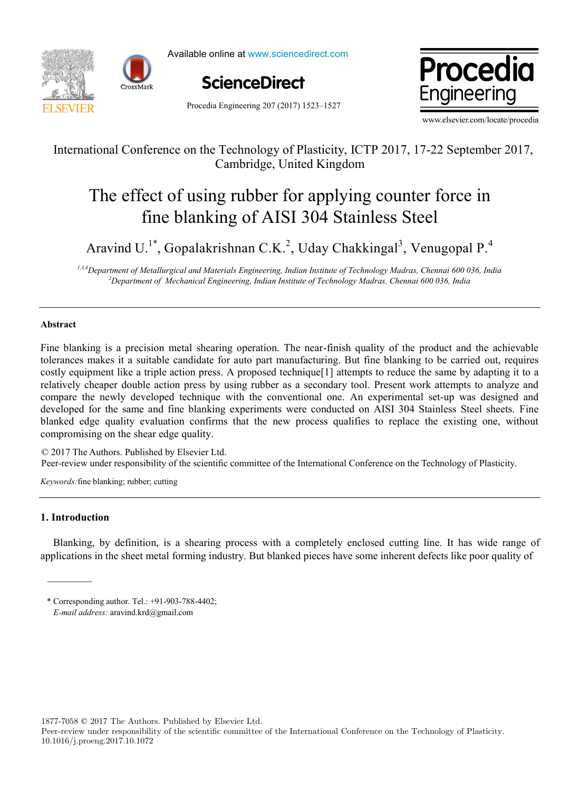

Available online at www.sciencedirect.com





Procedia Engineering 207 (2017) 1523–1527

www.elsevier.com/locate/procedia

# International Conference on the Technology of Plasticity, ICTP 2017, 17-22 September 2017, Cambridge, United Kingdom

# $T_1$  effect of using rubber for a point for a point for a point  $\alpha$ The effect of using rubber for applying counter force in fine blanking of AISI 304 Stainless Steel

Aravind U.1\* , Gopalakrishnan C.K.<sup>2</sup> , Uday Chakkingal<sup>3</sup> , Venugopal P.<sup>4</sup> Aravind U.<sup>1\*</sup>, Gopalakrishnan C.K.<sup>2</sup>, Uday Chakkingal<sup>3</sup>, Venugopal P.<sup>4</sup>

1,3,4 Department of Metallurgical and Materials Engineering, Indian Institute of Technology Madras, Chennai 600 036, India *2 Department of Mechanical Engineering, Indian Institute of Technology Madras, Chennai 600 036, India*

# **Abstract Abstract**

Fine blanking is a precision metal shearing operation. The near-finish quality of the product and the achievable tolerances makes it a suitable candidate for auto part manufacturing. But fine blanking to be carried out, requires costly equipment like a triple action press. A proposed technique[1] attempts to reduce the same by adapting it to a relatively cheaper double action press by using rubber as a secondary tool. Present work attempts to analyze and compare the newly developed technique with the conventional one. An experimental set-up was designed and developed for the same and fine blanking experiments were conducted on AISI 304 Stainless Steel sheets. Fine blanked edge quality evaluation confirms that the new process qualifies to replace the existing one, without compromising on the shear edge quality.

© 2017 The Authors. Published by Elsevier Ltd. © 2017 The Authors. Published by Elsevier Ltd.<br>Peer-review under responsibility of the scientific committee of the International Conference on the Technology of Plasticity. © 2017 The Authors. Published by Elsevier Ltd. I celebric w un © 2017 The Authors. Published by Elsevier Ltd. Per-review under responsibility of the scientific committee of the International Conference on the Technology of Flashery.

*Keywords:* fine blanking; rubber; cutting *Keywords:*fine blanking; rubber; cutting

#### **1. Introduction**

Blanking, by definition, is a shearing process with a completely enclosed cutting line. It has wide range of applications in the sheet metal forming industry. But blanked pieces have some inherent defects like poor quality of

1877-7058 © 2017 The Authors. Published by Elsevier Ltd.

Peer-review under responsibility of the scientific committee of the International Conference on the Technology of Plasticity. 10.1016/j.proeng.2017.10.1072

<sup>\*</sup> Corresponding author. Tel.: +91-903-788-4402; E-mail address: aravind.krd@gmail.com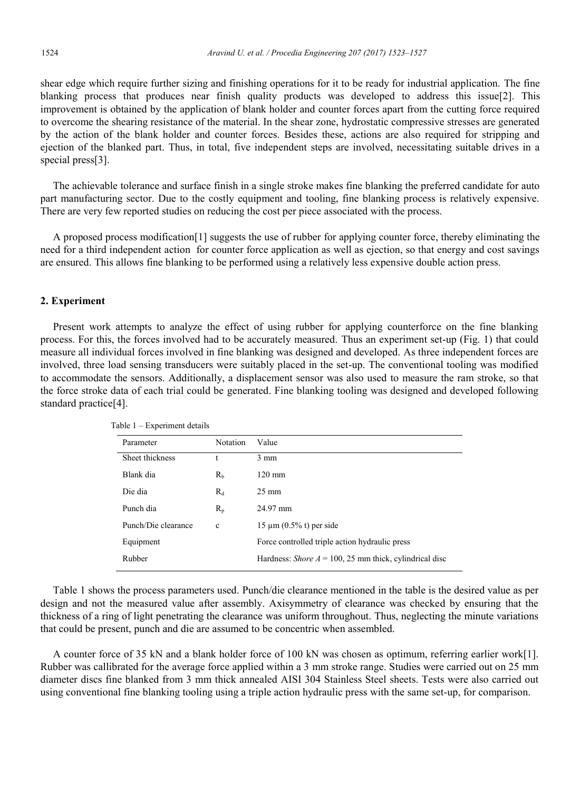shear edge which require further sizing and finishing operations for it to be ready for industrial application. The fine blanking process that produces near finish quality products was developed to address this issue[2]. This improvement is obtained by the application of blank holder and counter forces apart from the cutting force required to overcome the shearing resistance of the material. In the shear zone, hydrostatic compressive stresses are generated by the action of the blank holder and counter forces. Besides these, actions are also required for stripping and ejection of the blanked part. Thus, in total, five independent steps are involved, necessitating suitable drives in a special press[3].

The achievable tolerance and surface finish in a single stroke makes fine blanking the preferred candidate for auto part manufacturing sector. Due to the costly equipment and tooling, fine blanking process is relatively expensive. There are very few reported studies on reducing the cost per piece associated with the process.

A proposed process modification[1] suggests the use of rubber for applying counter force, thereby eliminating the need for a third independent action for counter force application as well as ejection, so that energy and cost savings are ensured. This allows fine blanking to be performed using a relatively less expensive double action press.

#### **2. Experiment**

Present work attempts to analyze the effect of using rubber for applying counterforce on the fine blanking process. For this, the forces involved had to be accurately measured. Thus an experiment set-up (Fig. 1) that could measure all individual forces involved in fine blanking was designed and developed. As three independent forces are involved, three load sensing transducers were suitably placed in the set-up. The conventional tooling was modified to accommodate the sensors. Additionally, a displacement sensor was also used to measure the ram stroke, so that the force stroke data of each trial could be generated. Fine blanking tooling was designed and developed following standard practice[4].

| Parameter           | <b>Notation</b> | Value                                                         |
|---------------------|-----------------|---------------------------------------------------------------|
| Sheet thickness     | t               | $3 \text{ mm}$                                                |
| Blank dia           | R <sub>b</sub>  | $120 \text{ mm}$                                              |
| Die dia             | $R_d$           | $25 \text{ mm}$                                               |
| Punch dia           | $R_{p}$         | 24.97 mm                                                      |
| Punch/Die clearance | $\mathbf c$     | $15 \mu m$ (0.5% t) per side                                  |
| Equipment           |                 | Force controlled triple action hydraulic press                |
| Rubber              |                 | Hardness: <i>Shore A</i> = 100, 25 mm thick, cylindrical disc |
|                     |                 |                                                               |

Table 1 – Experiment details

Table 1 shows the process parameters used. Punch/die clearance mentioned in the table is the desired value as per design and not the measured value after assembly. Axisymmetry of clearance was checked by ensuring that the thickness of a ring of light penetrating the clearance was uniform throughout. Thus, neglecting the minute variations that could be present, punch and die are assumed to be concentric when assembled.

A counter force of 35 kN and a blank holder force of 100 kN was chosen as optimum, referring earlier work[1]. Rubber was callibrated for the average force applied within a 3 mm stroke range. Studies were carried out on 25 mm diameter discs fine blanked from 3 mm thick annealed AISI 304 Stainless Steel sheets. Tests were also carried out using conventional fine blanking tooling using a triple action hydraulic press with the same set-up, for comparison.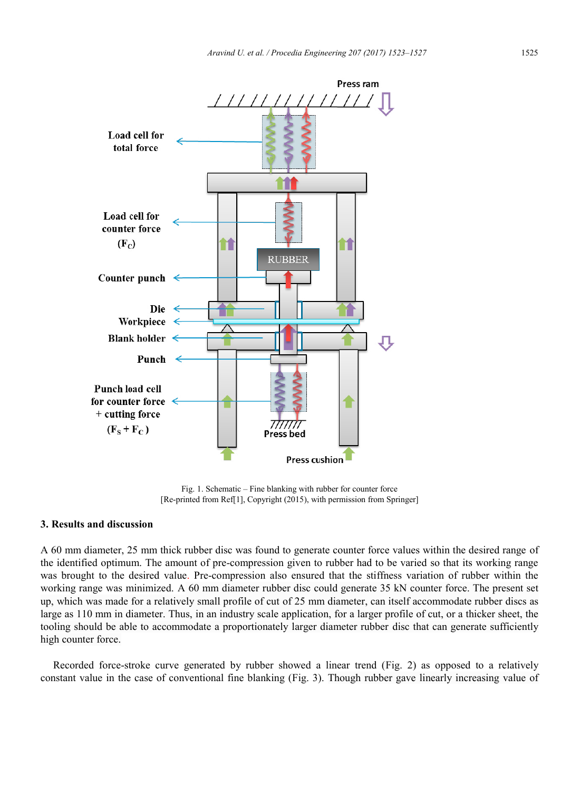

Fig. 1. Schematic – Fine blanking with rubber for counter force [Re-printed from Ref[1], Copyright (2015), with permission from Springer]

# **3. Results and discussion**

A 60 mm diameter, 25 mm thick rubber disc was found to generate counter force values within the desired range of the identified optimum. The amount of pre-compression given to rubber had to be varied so that its working range was brought to the desired value. Pre-compression also ensured that the stiffness variation of rubber within the working range was minimized. A 60 mm diameter rubber disc could generate 35 kN counter force. The present set up, which was made for a relatively small profile of cut of 25 mm diameter, can itself accommodate rubber discs as large as 110 mm in diameter. Thus, in an industry scale application, for a larger profile of cut, or a thicker sheet, the tooling should be able to accommodate a proportionately larger diameter rubber disc that can generate sufficiently high counter force.

Recorded force-stroke curve generated by rubber showed a linear trend (Fig. 2) as opposed to a relatively constant value in the case of conventional fine blanking (Fig. 3). Though rubber gave linearly increasing value of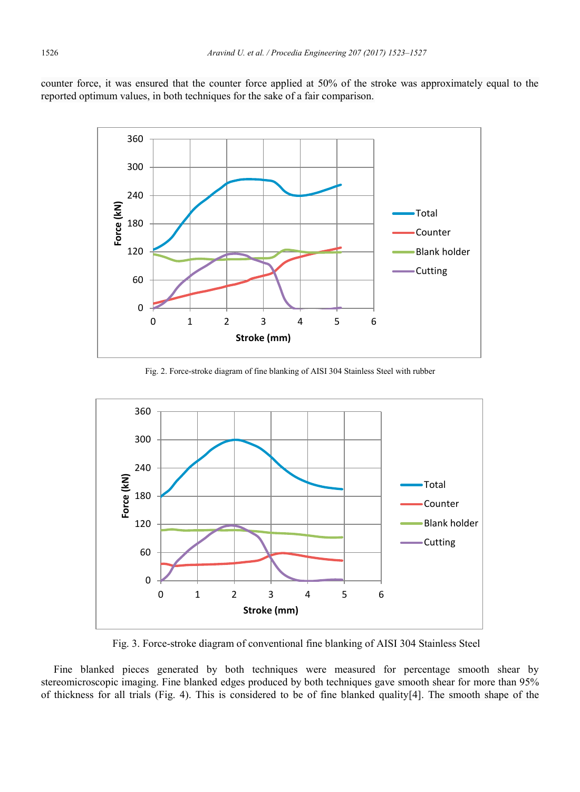counter force, it was ensured that the counter force applied at 50% of the stroke was approximately equal to the reported optimum values, in both techniques for the sake of a fair comparison.



Fig. 2. Force-stroke diagram of fine blanking of AISI 304 Stainless Steel with rubber



Fig. 3. Force-stroke diagram of conventional fine blanking of AISI 304 Stainless Steel

Fine blanked pieces generated by both techniques were measured for percentage smooth shear by stereomicroscopic imaging. Fine blanked edges produced by both techniques gave smooth shear for more than 95% of thickness for all trials (Fig. 4). This is considered to be of fine blanked quality[4]. The smooth shape of the